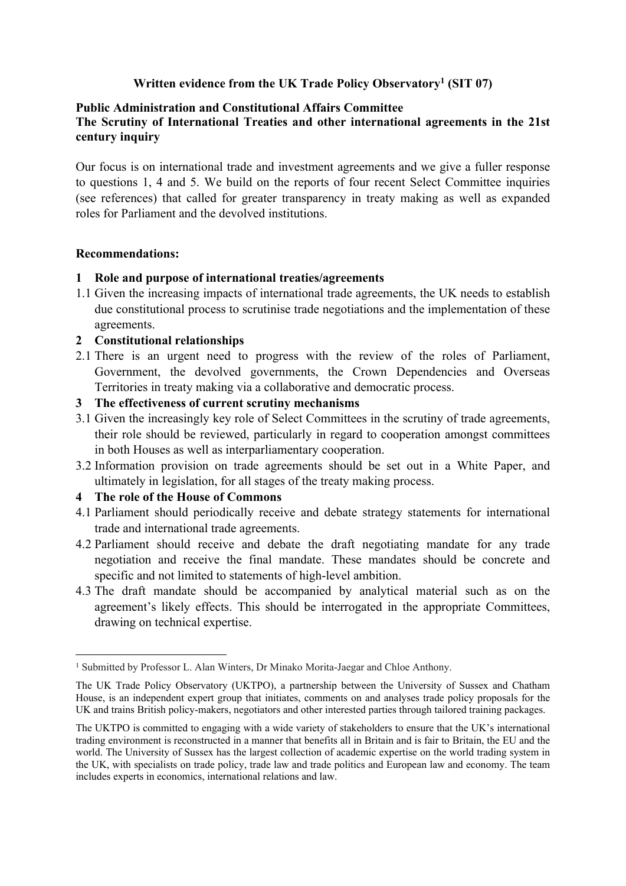# **Written evidence from the UK Trade Policy Observatory<sup>1</sup> (SIT 07)**

## **Public Administration and Constitutional Affairs Committee**

# **The Scrutiny of International Treaties and other international agreements in the 21st century inquiry**

Our focus is on international trade and investment agreements and we give a fuller response to questions 1, 4 and 5. We build on the reports of four recent Select Committee inquiries (see references) that called for greater transparency in treaty making as well as expanded roles for Parliament and the devolved institutions.

## **Recommendations:**

## **1 Role and purpose of international treaties/agreements**

1.1 Given the increasing impacts of international trade agreements, the UK needs to establish due constitutional process to scrutinise trade negotiations and the implementation of these agreements.

# **2 Constitutional relationships**

2.1 There is an urgent need to progress with the review of the roles of Parliament, Government, the devolved governments, the Crown Dependencies and Overseas Territories in treaty making via a collaborative and democratic process.

## **3 The effectiveness of current scrutiny mechanisms**

- 3.1 Given the increasingly key role of Select Committees in the scrutiny of trade agreements, their role should be reviewed, particularly in regard to cooperation amongst committees in both Houses as well as interparliamentary cooperation.
- 3.2 Information provision on trade agreements should be set out in a White Paper, and ultimately in legislation, for all stages of the treaty making process.

# **4 The role of the House of Commons**

- 4.1 Parliament should periodically receive and debate strategy statements for international trade and international trade agreements.
- 4.2 Parliament should receive and debate the draft negotiating mandate for any trade negotiation and receive the final mandate. These mandates should be concrete and specific and not limited to statements of high-level ambition.
- 4.3 The draft mandate should be accompanied by analytical material such as on the agreement's likely effects. This should be interrogated in the appropriate Committees, drawing on technical expertise.

<sup>1</sup> Submitted by Professor L. Alan Winters, Dr Minako Morita-Jaegar and Chloe Anthony.

The UK Trade Policy Observatory (UKTPO), a partnership between the University of Sussex and Chatham House, is an independent expert group that initiates, comments on and analyses trade policy proposals for the UK and trains British policy-makers, negotiators and other interested parties through tailored training packages.

The UKTPO is committed to engaging with a wide variety of stakeholders to ensure that the UK's international trading environment is reconstructed in a manner that benefits all in Britain and is fair to Britain, the EU and the world. The University of Sussex has the largest collection of academic expertise on the world trading system in the UK, with specialists on trade policy, trade law and trade politics and European law and economy. The team includes experts in economics, international relations and law.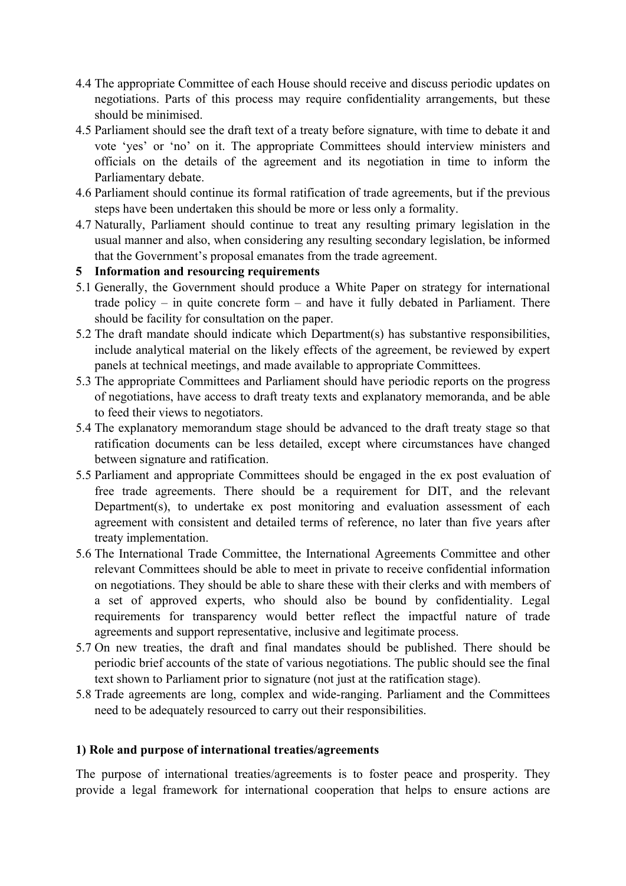- 4.4 The appropriate Committee of each House should receive and discuss periodic updates on negotiations. Parts of this process may require confidentiality arrangements, but these should be minimised.
- 4.5 Parliament should see the draft text of a treaty before signature, with time to debate it and vote 'yes' or 'no' on it. The appropriate Committees should interview ministers and officials on the details of the agreement and its negotiation in time to inform the Parliamentary debate.
- 4.6 Parliament should continue its formal ratification of trade agreements, but if the previous steps have been undertaken this should be more or less only a formality.
- 4.7 Naturally, Parliament should continue to treat any resulting primary legislation in the usual manner and also, when considering any resulting secondary legislation, be informed that the Government's proposal emanates from the trade agreement.
- **5 Information and resourcing requirements**
- 5.1 Generally, the Government should produce a White Paper on strategy for international trade policy – in quite concrete form – and have it fully debated in Parliament. There should be facility for consultation on the paper.
- 5.2 The draft mandate should indicate which Department(s) has substantive responsibilities, include analytical material on the likely effects of the agreement, be reviewed by expert panels at technical meetings, and made available to appropriate Committees.
- 5.3 The appropriate Committees and Parliament should have periodic reports on the progress of negotiations, have access to draft treaty texts and explanatory memoranda, and be able to feed their views to negotiators.
- 5.4 The explanatory memorandum stage should be advanced to the draft treaty stage so that ratification documents can be less detailed, except where circumstances have changed between signature and ratification.
- 5.5 Parliament and appropriate Committees should be engaged in the ex post evaluation of free trade agreements. There should be a requirement for DIT, and the relevant Department(s), to undertake ex post monitoring and evaluation assessment of each agreement with consistent and detailed terms of reference, no later than five years after treaty implementation.
- 5.6 The International Trade Committee, the International Agreements Committee and other relevant Committees should be able to meet in private to receive confidential information on negotiations. They should be able to share these with their clerks and with members of a set of approved experts, who should also be bound by confidentiality. Legal requirements for transparency would better reflect the impactful nature of trade agreements and support representative, inclusive and legitimate process.
- 5.7 On new treaties, the draft and final mandates should be published. There should be periodic brief accounts of the state of various negotiations. The public should see the final text shown to Parliament prior to signature (not just at the ratification stage).
- 5.8 Trade agreements are long, complex and wide-ranging. Parliament and the Committees need to be adequately resourced to carry out their responsibilities.

# **1) Role and purpose of international treaties/agreements**

The purpose of international treaties/agreements is to foster peace and prosperity. They provide a legal framework for international cooperation that helps to ensure actions are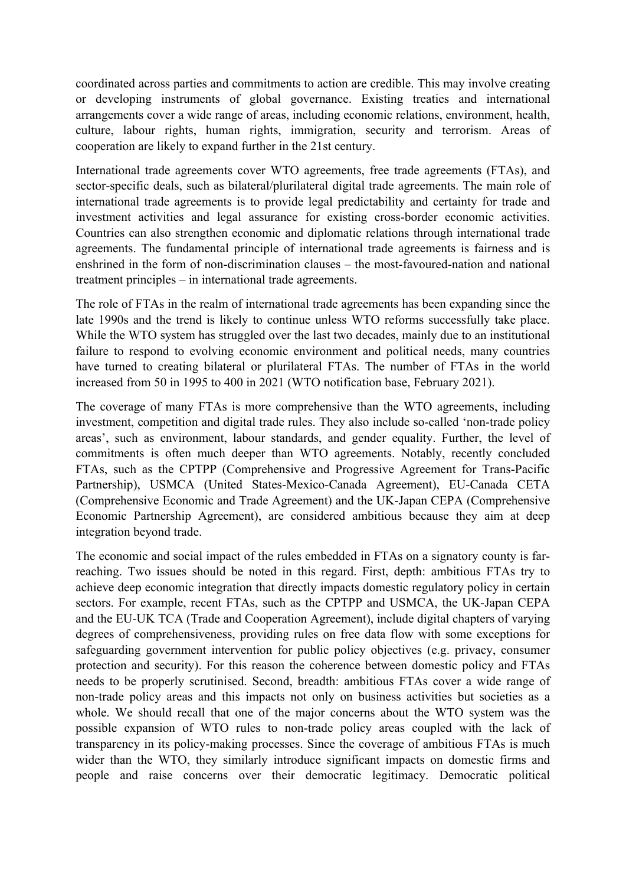coordinated across parties and commitments to action are credible. This may involve creating or developing instruments of global governance. Existing treaties and international arrangements cover a wide range of areas, including economic relations, environment, health, culture, labour rights, human rights, immigration, security and terrorism. Areas of cooperation are likely to expand further in the 21st century.

International trade agreements cover WTO agreements, free trade agreements (FTAs), and sector-specific deals, such as bilateral/plurilateral digital trade agreements. The main role of international trade agreements is to provide legal predictability and certainty for trade and investment activities and legal assurance for existing cross-border economic activities. Countries can also strengthen economic and diplomatic relations through international trade agreements. The fundamental principle of international trade agreements is fairness and is enshrined in the form of non-discrimination clauses – the most-favoured-nation and national treatment principles – in international trade agreements.

The role of FTAs in the realm of international trade agreements has been expanding since the late 1990s and the trend is likely to continue unless WTO reforms successfully take place. While the WTO system has struggled over the last two decades, mainly due to an institutional failure to respond to evolving economic environment and political needs, many countries have turned to creating bilateral or plurilateral FTAs. The number of FTAs in the world increased from 50 in 1995 to 400 in 2021 (WTO notification base, February 2021).

The coverage of many FTAs is more comprehensive than the WTO agreements, including investment, competition and digital trade rules. They also include so-called 'non-trade policy areas', such as environment, labour standards, and gender equality. Further, the level of commitments is often much deeper than WTO agreements. Notably, recently concluded FTAs, such as the CPTPP (Comprehensive and Progressive Agreement for Trans-Pacific Partnership), USMCA (United States-Mexico-Canada Agreement), EU-Canada CETA (Comprehensive Economic and Trade Agreement) and the UK-Japan CEPA (Comprehensive Economic Partnership Agreement), are considered ambitious because they aim at deep integration beyond trade.

The economic and social impact of the rules embedded in FTAs on a signatory county is farreaching. Two issues should be noted in this regard. First, depth: ambitious FTAs try to achieve deep economic integration that directly impacts domestic regulatory policy in certain sectors. For example, recent FTAs, such as the CPTPP and USMCA, the UK-Japan CEPA and the EU-UK TCA (Trade and Cooperation Agreement), include digital chapters of varying degrees of comprehensiveness, providing rules on free data flow with some exceptions for safeguarding government intervention for public policy objectives (e.g. privacy, consumer protection and security). For this reason the coherence between domestic policy and FTAs needs to be properly scrutinised. Second, breadth: ambitious FTAs cover a wide range of non-trade policy areas and this impacts not only on business activities but societies as a whole. We should recall that one of the major concerns about the WTO system was the possible expansion of WTO rules to non-trade policy areas coupled with the lack of transparency in its policy-making processes. Since the coverage of ambitious FTAs is much wider than the WTO, they similarly introduce significant impacts on domestic firms and people and raise concerns over their democratic legitimacy. Democratic political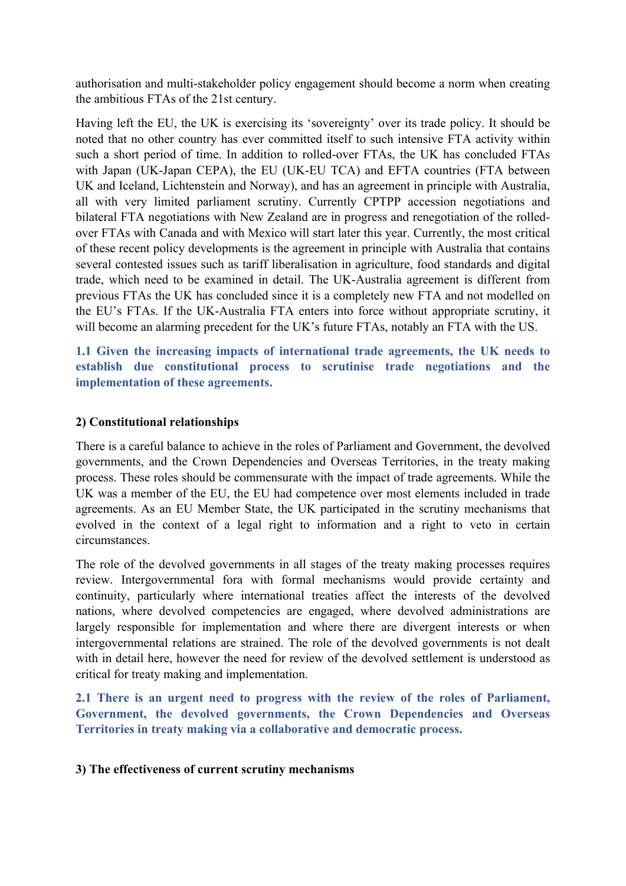authorisation and multi-stakeholder policy engagement should become a norm when creating the ambitious FTAs of the 21st century.

Having left the EU, the UK is exercising its 'sovereignty' over its trade policy. It should be noted that no other country has ever committed itself to such intensive FTA activity within such a short period of time. In addition to rolled-over FTAs, the UK has concluded FTAs with Japan (UK-Japan CEPA), the EU (UK-EU TCA) and EFTA countries (FTA between UK and Iceland, Lichtenstein and Norway), and has an agreement in principle with Australia, all with very limited parliament scrutiny. Currently CPTPP accession negotiations and bilateral FTA negotiations with New Zealand are in progress and renegotiation of the rolledover FTAs with Canada and with Mexico will start later this year. Currently, the most critical of these recent policy developments is the agreement in principle with Australia that contains several contested issues such as tariff liberalisation in agriculture, food standards and digital trade, which need to be examined in detail. The UK-Australia agreement is different from previous FTAs the UK has concluded since it is a completely new FTA and not modelled on the EU's FTAs. If the UK-Australia FTA enters into force without appropriate scrutiny, it will become an alarming precedent for the UK's future FTAs, notably an FTA with the US.

**1.1 Given the increasing impacts of international trade agreements, the UK needs to establish due constitutional process to scrutinise trade negotiations and the implementation of these agreements.**

## **2) Constitutional relationships**

There is a careful balance to achieve in the roles of Parliament and Government, the devolved governments, and the Crown Dependencies and Overseas Territories, in the treaty making process. These roles should be commensurate with the impact of trade agreements. While the UK was a member of the EU, the EU had competence over most elements included in trade agreements. As an EU Member State, the UK participated in the scrutiny mechanisms that evolved in the context of a legal right to information and a right to veto in certain circumstances.

The role of the devolved governments in all stages of the treaty making processes requires review. Intergovernmental fora with formal mechanisms would provide certainty and continuity, particularly where international treaties affect the interests of the devolved nations, where devolved competencies are engaged, where devolved administrations are largely responsible for implementation and where there are divergent interests or when intergovernmental relations are strained. The role of the devolved governments is not dealt with in detail here, however the need for review of the devolved settlement is understood as critical for treaty making and implementation.

**2.1 There is an urgent need to progress with the review of the roles of Parliament, Government, the devolved governments, the Crown Dependencies and Overseas Territories in treaty making via a collaborative and democratic process.**

#### **3) The effectiveness of current scrutiny mechanisms**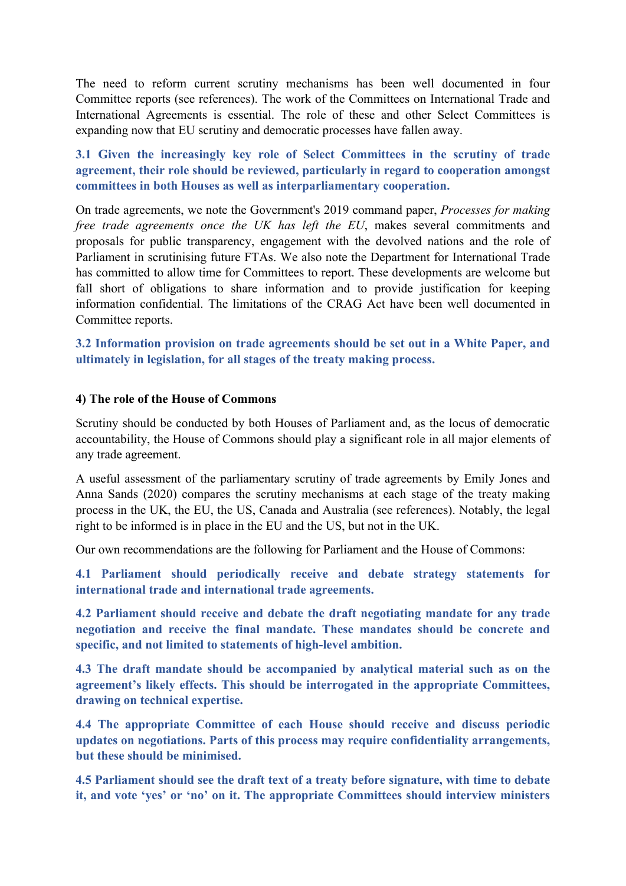The need to reform current scrutiny mechanisms has been well documented in four Committee reports (see references). The work of the Committees on International Trade and International Agreements is essential. The role of these and other Select Committees is expanding now that EU scrutiny and democratic processes have fallen away.

**3.1 Given the increasingly key role of Select Committees in the scrutiny of trade agreement, their role should be reviewed, particularly in regard to cooperation amongst committees in both Houses as well as interparliamentary cooperation.**

On trade agreements, we note the Government's 2019 command paper, *Processes for making free trade agreements once the UK has left the EU*, makes several commitments and proposals for public transparency, engagement with the devolved nations and the role of Parliament in scrutinising future FTAs. We also note the Department for International Trade has committed to allow time for Committees to report. These developments are welcome but fall short of obligations to share information and to provide justification for keeping information confidential. The limitations of the CRAG Act have been well documented in Committee reports.

**3.2 Information provision on trade agreements should be set out in a White Paper, and ultimately in legislation, for all stages of the treaty making process.**

## **4) The role of the House of Commons**

Scrutiny should be conducted by both Houses of Parliament and, as the locus of democratic accountability, the House of Commons should play a significant role in all major elements of any trade agreement.

A useful assessment of the parliamentary scrutiny of trade agreements by Emily Jones and Anna Sands (2020) compares the scrutiny mechanisms at each stage of the treaty making process in the UK, the EU, the US, Canada and Australia (see references). Notably, the legal right to be informed is in place in the EU and the US, but not in the UK.

Our own recommendations are the following for Parliament and the House of Commons:

**4.1 Parliament should periodically receive and debate strategy statements for international trade and international trade agreements.**

**4.2 Parliament should receive and debate the draft negotiating mandate for any trade negotiation and receive the final mandate. These mandates should be concrete and specific, and not limited to statements of high-level ambition.**

**4.3 The draft mandate should be accompanied by analytical material such as on the agreement's likely effects. This should be interrogated in the appropriate Committees, drawing on technical expertise.**

**4.4 The appropriate Committee of each House should receive and discuss periodic updates on negotiations. Parts of this process may require confidentiality arrangements, but these should be minimised.**

**4.5 Parliament should see the draft text of a treaty before signature, with time to debate it, and vote 'yes' or 'no' on it. The appropriate Committees should interview ministers**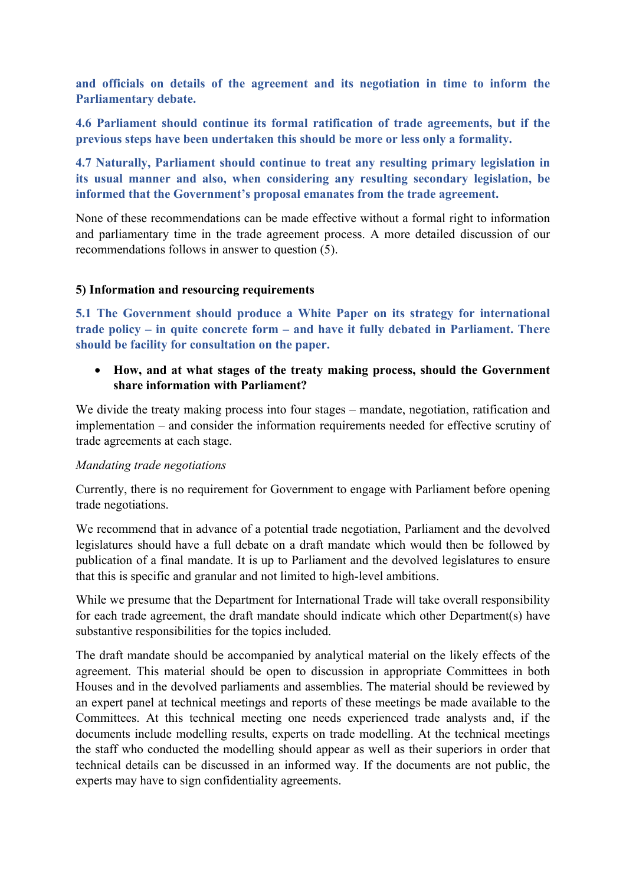**and officials on details of the agreement and its negotiation in time to inform the Parliamentary debate.**

**4.6 Parliament should continue its formal ratification of trade agreements, but if the previous steps have been undertaken this should be more or less only a formality.**

**4.7 Naturally, Parliament should continue to treat any resulting primary legislation in its usual manner and also, when considering any resulting secondary legislation, be informed that the Government's proposal emanates from the trade agreement.** 

None of these recommendations can be made effective without a formal right to information and parliamentary time in the trade agreement process. A more detailed discussion of our recommendations follows in answer to question (5).

## **5) Information and resourcing requirements**

**5.1 The Government should produce a White Paper on its strategy for international trade policy – in quite concrete form – and have it fully debated in Parliament. There should be facility for consultation on the paper.**

 **How, and at what stages of the treaty making process, should the Government share information with Parliament?**

We divide the treaty making process into four stages – mandate, negotiation, ratification and implementation – and consider the information requirements needed for effective scrutiny of trade agreements at each stage.

#### *Mandating trade negotiations*

Currently, there is no requirement for Government to engage with Parliament before opening trade negotiations.

We recommend that in advance of a potential trade negotiation, Parliament and the devolved legislatures should have a full debate on a draft mandate which would then be followed by publication of a final mandate. It is up to Parliament and the devolved legislatures to ensure that this is specific and granular and not limited to high-level ambitions.

While we presume that the Department for International Trade will take overall responsibility for each trade agreement, the draft mandate should indicate which other Department(s) have substantive responsibilities for the topics included.

The draft mandate should be accompanied by analytical material on the likely effects of the agreement. This material should be open to discussion in appropriate Committees in both Houses and in the devolved parliaments and assemblies. The material should be reviewed by an expert panel at technical meetings and reports of these meetings be made available to the Committees. At this technical meeting one needs experienced trade analysts and, if the documents include modelling results, experts on trade modelling. At the technical meetings the staff who conducted the modelling should appear as well as their superiors in order that technical details can be discussed in an informed way. If the documents are not public, the experts may have to sign confidentiality agreements.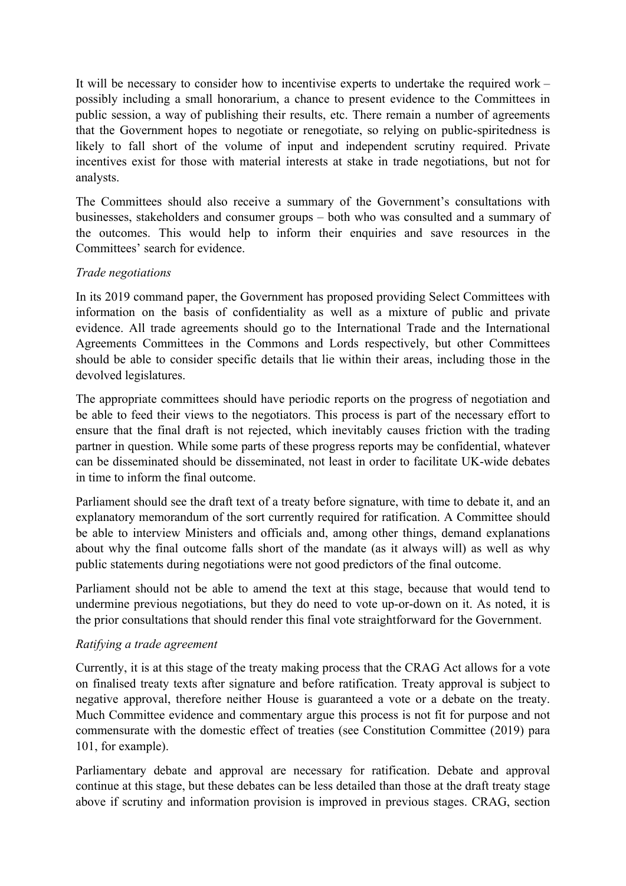It will be necessary to consider how to incentivise experts to undertake the required work – possibly including a small honorarium, a chance to present evidence to the Committees in public session, a way of publishing their results, etc. There remain a number of agreements that the Government hopes to negotiate or renegotiate, so relying on public-spiritedness is likely to fall short of the volume of input and independent scrutiny required. Private incentives exist for those with material interests at stake in trade negotiations, but not for analysts.

The Committees should also receive a summary of the Government's consultations with businesses, stakeholders and consumer groups – both who was consulted and a summary of the outcomes. This would help to inform their enquiries and save resources in the Committees' search for evidence.

# *Trade negotiations*

In its 2019 command paper, the Government has proposed providing Select Committees with information on the basis of confidentiality as well as a mixture of public and private evidence. All trade agreements should go to the International Trade and the International Agreements Committees in the Commons and Lords respectively, but other Committees should be able to consider specific details that lie within their areas, including those in the devolved legislatures.

The appropriate committees should have periodic reports on the progress of negotiation and be able to feed their views to the negotiators. This process is part of the necessary effort to ensure that the final draft is not rejected, which inevitably causes friction with the trading partner in question. While some parts of these progress reports may be confidential, whatever can be disseminated should be disseminated, not least in order to facilitate UK-wide debates in time to inform the final outcome.

Parliament should see the draft text of a treaty before signature, with time to debate it, and an explanatory memorandum of the sort currently required for ratification. A Committee should be able to interview Ministers and officials and, among other things, demand explanations about why the final outcome falls short of the mandate (as it always will) as well as why public statements during negotiations were not good predictors of the final outcome.

Parliament should not be able to amend the text at this stage, because that would tend to undermine previous negotiations, but they do need to vote up-or-down on it. As noted, it is the prior consultations that should render this final vote straightforward for the Government.

# *Ratifying a trade agreement*

Currently, it is at this stage of the treaty making process that the CRAG Act allows for a vote on finalised treaty texts after signature and before ratification. Treaty approval is subject to negative approval, therefore neither House is guaranteed a vote or a debate on the treaty. Much Committee evidence and commentary argue this process is not fit for purpose and not commensurate with the domestic effect of treaties (see Constitution Committee (2019) para 101, for example).

Parliamentary debate and approval are necessary for ratification. Debate and approval continue at this stage, but these debates can be less detailed than those at the draft treaty stage above if scrutiny and information provision is improved in previous stages. CRAG, section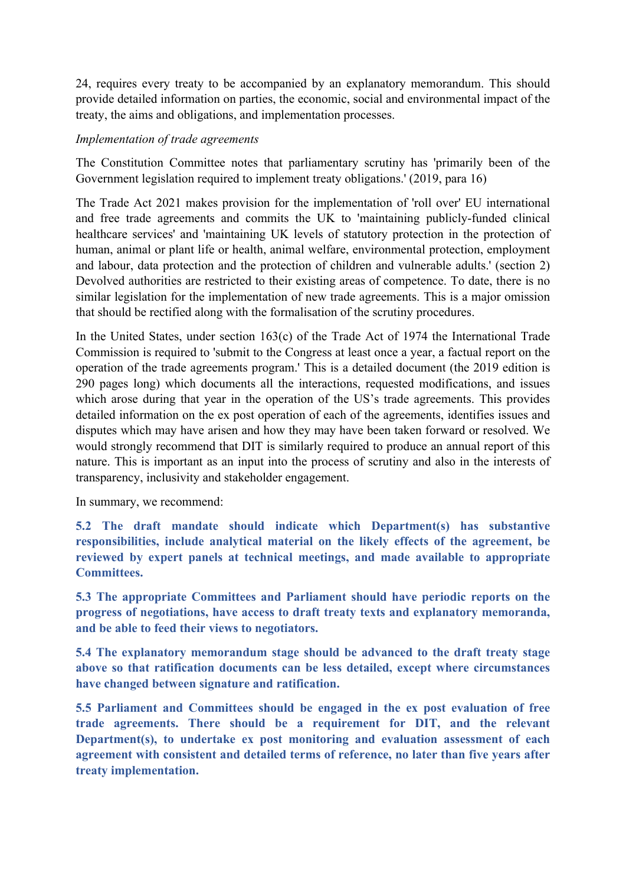24, requires every treaty to be accompanied by an explanatory memorandum. This should provide detailed information on parties, the economic, social and environmental impact of the treaty, the aims and obligations, and implementation processes.

# *Implementation of trade agreements*

The Constitution Committee notes that parliamentary scrutiny has 'primarily been of the Government legislation required to implement treaty obligations.' (2019, para 16)

The Trade Act 2021 makes provision for the implementation of 'roll over' EU international and free trade agreements and commits the UK to 'maintaining publicly-funded clinical healthcare services' and 'maintaining UK levels of statutory protection in the protection of human, animal or plant life or health, animal welfare, environmental protection, employment and labour, data protection and the protection of children and vulnerable adults.' (section 2) Devolved authorities are restricted to their existing areas of competence. To date, there is no similar legislation for the implementation of new trade agreements. This is a major omission that should be rectified along with the formalisation of the scrutiny procedures.

In the United States, under section 163(c) of the Trade Act of 1974 the International Trade Commission is required to 'submit to the Congress at least once a year, a factual report on the operation of the trade agreements program.' This is a detailed document (the 2019 edition is 290 pages long) which documents all the interactions, requested modifications, and issues which arose during that year in the operation of the US's trade agreements. This provides detailed information on the ex post operation of each of the agreements, identifies issues and disputes which may have arisen and how they may have been taken forward or resolved. We would strongly recommend that DIT is similarly required to produce an annual report of this nature. This is important as an input into the process of scrutiny and also in the interests of transparency, inclusivity and stakeholder engagement.

In summary, we recommend:

**5.2 The draft mandate should indicate which Department(s) has substantive responsibilities, include analytical material on the likely effects of the agreement, be reviewed by expert panels at technical meetings, and made available to appropriate Committees.**

**5.3 The appropriate Committees and Parliament should have periodic reports on the progress of negotiations, have access to draft treaty texts and explanatory memoranda, and be able to feed their views to negotiators.**

**5.4 The explanatory memorandum stage should be advanced to the draft treaty stage above so that ratification documents can be less detailed, except where circumstances have changed between signature and ratification.**

**5.5 Parliament and Committees should be engaged in the ex post evaluation of free trade agreements. There should be a requirement for DIT, and the relevant Department(s), to undertake ex post monitoring and evaluation assessment of each agreement with consistent and detailed terms of reference, no later than five years after treaty implementation.**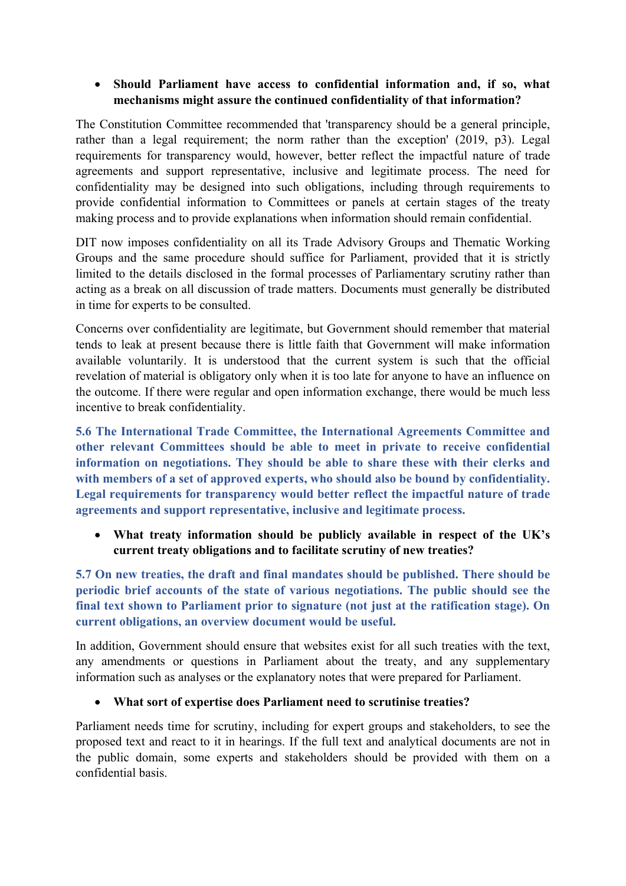# **Should Parliament have access to confidential information and, if so, what mechanisms might assure the continued confidentiality of that information?**

The Constitution Committee recommended that 'transparency should be a general principle, rather than a legal requirement; the norm rather than the exception' (2019, p3). Legal requirements for transparency would, however, better reflect the impactful nature of trade agreements and support representative, inclusive and legitimate process. The need for confidentiality may be designed into such obligations, including through requirements to provide confidential information to Committees or panels at certain stages of the treaty making process and to provide explanations when information should remain confidential.

DIT now imposes confidentiality on all its Trade Advisory Groups and Thematic Working Groups and the same procedure should suffice for Parliament, provided that it is strictly limited to the details disclosed in the formal processes of Parliamentary scrutiny rather than acting as a break on all discussion of trade matters. Documents must generally be distributed in time for experts to be consulted.

Concerns over confidentiality are legitimate, but Government should remember that material tends to leak at present because there is little faith that Government will make information available voluntarily. It is understood that the current system is such that the official revelation of material is obligatory only when it is too late for anyone to have an influence on the outcome. If there were regular and open information exchange, there would be much less incentive to break confidentiality.

**5.6 The International Trade Committee, the International Agreements Committee and other relevant Committees should be able to meet in private to receive confidential information on negotiations. They should be able to share these with their clerks and with members of a set of approved experts, who should also be bound by confidentiality. Legal requirements for transparency would better reflect the impactful nature of trade agreements and support representative, inclusive and legitimate process.**

 **What treaty information should be publicly available in respect of the UK's current treaty obligations and to facilitate scrutiny of new treaties?**

**5.7 On new treaties, the draft and final mandates should be published. There should be periodic brief accounts of the state of various negotiations. The public should see the final text shown to Parliament prior to signature (not just at the ratification stage). On current obligations, an overview document would be useful.**

In addition, Government should ensure that websites exist for all such treaties with the text, any amendments or questions in Parliament about the treaty, and any supplementary information such as analyses or the explanatory notes that were prepared for Parliament.

# **What sort of expertise does Parliament need to scrutinise treaties?**

Parliament needs time for scrutiny, including for expert groups and stakeholders, to see the proposed text and react to it in hearings. If the full text and analytical documents are not in the public domain, some experts and stakeholders should be provided with them on a confidential basis.